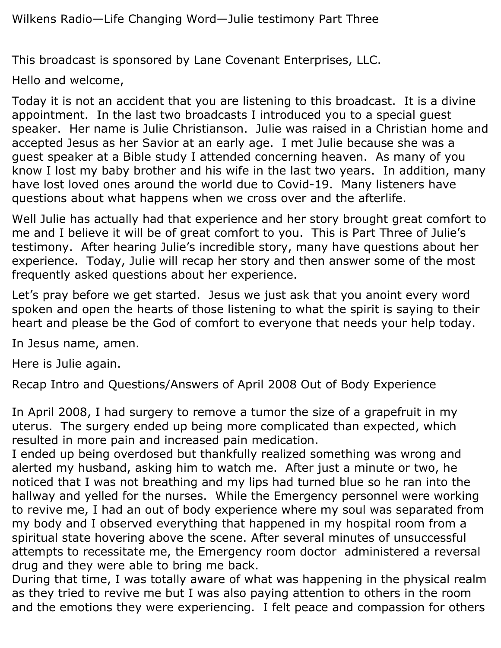This broadcast is sponsored by Lane Covenant Enterprises, LLC.

Hello and welcome,

Today it is not an accident that you are listening to this broadcast. It is a divine appointment. In the last two broadcasts I introduced you to a special guest speaker. Her name is Julie Christianson. Julie was raised in a Christian home and accepted Jesus as her Savior at an early age. I met Julie because she was a guest speaker at a Bible study I attended concerning heaven. As many of you know I lost my baby brother and his wife in the last two years. In addition, many have lost loved ones around the world due to Covid-19. Many listeners have questions about what happens when we cross over and the afterlife.

Well Julie has actually had that experience and her story brought great comfort to me and I believe it will be of great comfort to you. This is Part Three of Julie's testimony. After hearing Julie's incredible story, many have questions about her experience. Today, Julie will recap her story and then answer some of the most frequently asked questions about her experience.

Let's pray before we get started. Jesus we just ask that you anoint every word spoken and open the hearts of those listening to what the spirit is saying to their heart and please be the God of comfort to everyone that needs your help today.

In Jesus name, amen.

Here is Julie again.

Recap Intro and Questions/Answers of April 2008 Out of Body Experience

In April 2008, I had surgery to remove a tumor the size of a grapefruit in my uterus. The surgery ended up being more complicated than expected, which resulted in more pain and increased pain medication.

I ended up being overdosed but thankfully realized something was wrong and alerted my husband, asking him to watch me. After just a minute or two, he noticed that I was not breathing and my lips had turned blue so he ran into the hallway and yelled for the nurses. While the Emergency personnel were working to revive me, I had an out of body experience where my soul was separated from my body and I observed everything that happened in my hospital room from a spiritual state hovering above the scene. After several minutes of unsuccessful attempts to recessitate me, the Emergency room doctor administered a reversal drug and they were able to bring me back.

During that time, I was totally aware of what was happening in the physical realm as they tried to revive me but I was also paying attention to others in the room and the emotions they were experiencing. I felt peace and compassion for others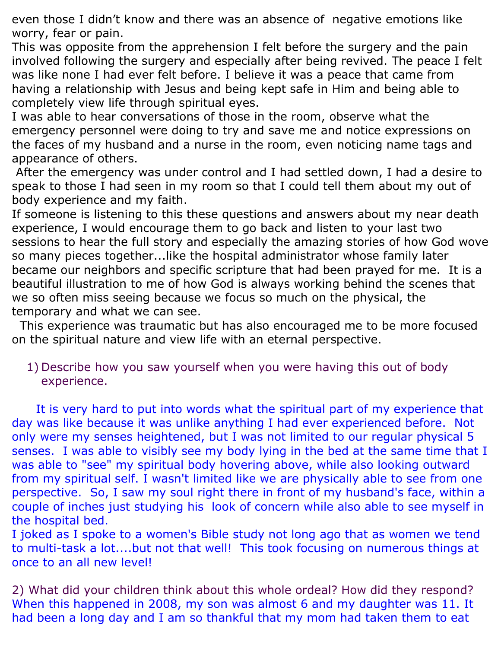even those I didn't know and there was an absence of negative emotions like worry, fear or pain.

This was opposite from the apprehension I felt before the surgery and the pain involved following the surgery and especially after being revived. The peace I felt was like none I had ever felt before. I believe it was a peace that came from having a relationship with Jesus and being kept safe in Him and being able to completely view life through spiritual eyes.

I was able to hear conversations of those in the room, observe what the emergency personnel were doing to try and save me and notice expressions on the faces of my husband and a nurse in the room, even noticing name tags and appearance of others.

After the emergency was under control and I had settled down, I had a desire to speak to those I had seen in my room so that I could tell them about my out of body experience and my faith.

If someone is listening to this these questions and answers about my near death experience, I would encourage them to go back and listen to your last two sessions to hear the full story and especially the amazing stories of how God wove so many pieces together...like the hospital administrator whose family later became our neighbors and specific scripture that had been prayed for me. It is a beautiful illustration to me of how God is always working behind the scenes that we so often miss seeing because we focus so much on the physical, the temporary and what we can see.

 This experience was traumatic but has also encouraged me to be more focused on the spiritual nature and view life with an eternal perspective.

1) Describe how you saw yourself when you were having this out of body experience.

 It is very hard to put into words what the spiritual part of my experience that day was like because it was unlike anything I had ever experienced before. Not only were my senses heightened, but I was not limited to our regular physical 5 senses. I was able to visibly see my body lying in the bed at the same time that I was able to "see" my spiritual body hovering above, while also looking outward from my spiritual self. I wasn't limited like we are physically able to see from one perspective. So, I saw my soul right there in front of my husband's face, within a couple of inches just studying his look of concern while also able to see myself in the hospital bed.

I joked as I spoke to a women's Bible study not long ago that as women we tend to multi-task a lot....but not that well! This took focusing on numerous things at once to an all new level!

2) What did your children think about this whole ordeal? How did they respond? When this happened in 2008, my son was almost 6 and my daughter was 11. It had been a long day and I am so thankful that my mom had taken them to eat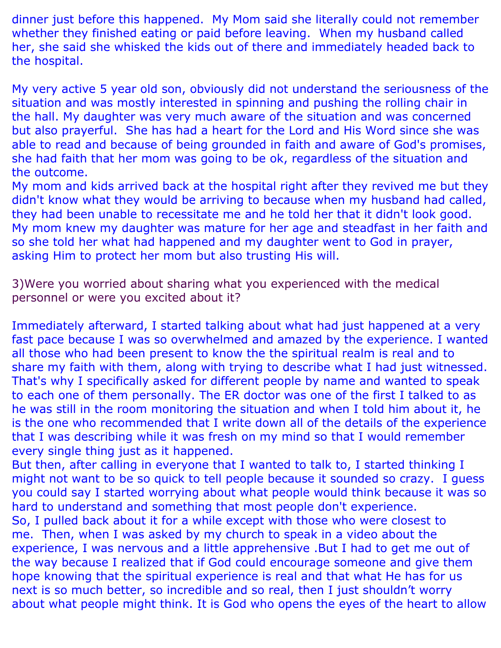dinner just before this happened. My Mom said she literally could not remember whether they finished eating or paid before leaving. When my husband called her, she said she whisked the kids out of there and immediately headed back to the hospital.

My very active 5 year old son, obviously did not understand the seriousness of the situation and was mostly interested in spinning and pushing the rolling chair in the hall. My daughter was very much aware of the situation and was concerned but also prayerful. She has had a heart for the Lord and His Word since she was able to read and because of being grounded in faith and aware of God's promises, she had faith that her mom was going to be ok, regardless of the situation and the outcome.

My mom and kids arrived back at the hospital right after they revived me but they didn't know what they would be arriving to because when my husband had called, they had been unable to recessitate me and he told her that it didn't look good. My mom knew my daughter was mature for her age and steadfast in her faith and so she told her what had happened and my daughter went to God in prayer, asking Him to protect her mom but also trusting His will.

3)Were you worried about sharing what you experienced with the medical personnel or were you excited about it?

Immediately afterward, I started talking about what had just happened at a very fast pace because I was so overwhelmed and amazed by the experience. I wanted all those who had been present to know the the spiritual realm is real and to share my faith with them, along with trying to describe what I had just witnessed. That's why I specifically asked for different people by name and wanted to speak to each one of them personally. The ER doctor was one of the first I talked to as he was still in the room monitoring the situation and when I told him about it, he is the one who recommended that I write down all of the details of the experience that I was describing while it was fresh on my mind so that I would remember every single thing just as it happened.

But then, after calling in everyone that I wanted to talk to, I started thinking I might not want to be so quick to tell people because it sounded so crazy. I guess you could say I started worrying about what people would think because it was so hard to understand and something that most people don't experience.

So, I pulled back about it for a while except with those who were closest to me. Then, when I was asked by my church to speak in a video about the experience, I was nervous and a little apprehensive .But I had to get me out of the way because I realized that if God could encourage someone and give them hope knowing that the spiritual experience is real and that what He has for us next is so much better, so incredible and so real, then I just shouldn't worry about what people might think. It is God who opens the eyes of the heart to allow